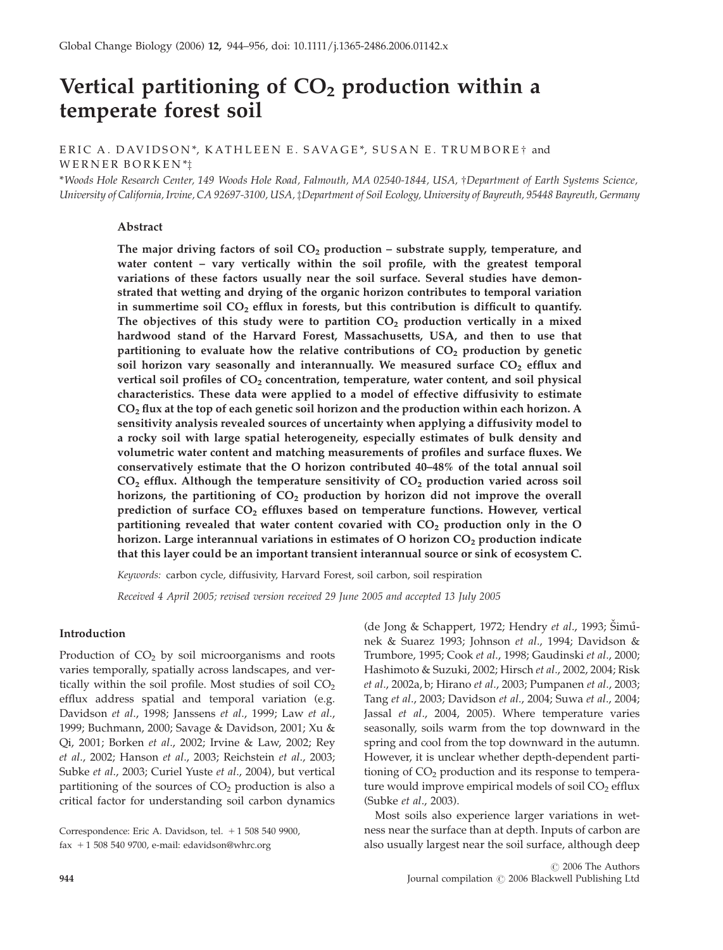# Vertical partitioning of  $CO<sub>2</sub>$  production within a temperate forest soil

ERIC A. DAVIDSON\*, KATHLEEN E. SAVAGE\*, SUSAN E. TRUMBORE† and WERNER BORKEN \*z

\*Woods Hole Research Center, 149 Woods Hole Road, Falmouth, MA 02540-1844, USA, †Department of Earth Systems Science, University of California, Irvine, CA 92697-3100, USA, zDepartment of Soil Ecology, University of Bayreuth, 95448 Bayreuth, Germany

## Abstract

The major driving factors of soil  $CO<sub>2</sub>$  production – substrate supply, temperature, and water content – vary vertically within the soil profile, with the greatest temporal variations of these factors usually near the soil surface. Several studies have demonstrated that wetting and drying of the organic horizon contributes to temporal variation in summertime soil  $CO<sub>2</sub>$  efflux in forests, but this contribution is difficult to quantify. The objectives of this study were to partition  $CO<sub>2</sub>$  production vertically in a mixed hardwood stand of the Harvard Forest, Massachusetts, USA, and then to use that partitioning to evaluate how the relative contributions of  $CO<sub>2</sub>$  production by genetic soil horizon vary seasonally and interannually. We measured surface  $CO<sub>2</sub>$  efflux and vertical soil profiles of  $CO<sub>2</sub>$  concentration, temperature, water content, and soil physical characteristics. These data were applied to a model of effective diffusivity to estimate  $CO<sub>2</sub>$  flux at the top of each genetic soil horizon and the production within each horizon. A sensitivity analysis revealed sources of uncertainty when applying a diffusivity model to a rocky soil with large spatial heterogeneity, especially estimates of bulk density and volumetric water content and matching measurements of profiles and surface fluxes. We conservatively estimate that the O horizon contributed 40–48% of the total annual soil  $CO<sub>2</sub>$  efflux. Although the temperature sensitivity of  $CO<sub>2</sub>$  production varied across soil horizons, the partitioning of  $CO<sub>2</sub>$  production by horizon did not improve the overall prediction of surface CO<sub>2</sub> effluxes based on temperature functions. However, vertical partitioning revealed that water content covaried with  $CO<sub>2</sub>$  production only in the O horizon. Large interannual variations in estimates of O horizon  $CO<sub>2</sub>$  production indicate that this layer could be an important transient interannual source or sink of ecosystem C.

Keywords: carbon cycle, diffusivity, Harvard Forest, soil carbon, soil respiration

Received 4 April 2005; revised version received 29 June 2005 and accepted 13 July 2005

## Introduction

Production of  $CO<sub>2</sub>$  by soil microorganisms and roots varies temporally, spatially across landscapes, and vertically within the soil profile. Most studies of soil  $CO<sub>2</sub>$ efflux address spatial and temporal variation (e.g. Davidson et al., 1998; Janssens et al., 1999; Law et al., 1999; Buchmann, 2000; Savage & Davidson, 2001; Xu & Qi, 2001; Borken et al., 2002; Irvine & Law, 2002; Rey et al., 2002; Hanson et al., 2003; Reichstein et al., 2003; Subke et al., 2003; Curiel Yuste et al., 2004), but vertical partitioning of the sources of  $CO<sub>2</sub>$  production is also a critical factor for understanding soil carbon dynamics

Correspondence: Eric A. Davidson, tel. + 1 508 540 9900, fax  $+ 1 508 540 9700$ , e-mail: edavidson@whrc.org

(de Jong & Schappert, 1972; Hendry et al., 1993; Šimůnek & Suarez 1993; Johnson et al., 1994; Davidson & Trumbore, 1995; Cook et al., 1998; Gaudinski et al., 2000; Hashimoto & Suzuki, 2002; Hirsch et al., 2002, 2004; Risk et al., 2002a, b; Hirano et al., 2003; Pumpanen et al., 2003; Tang et al., 2003; Davidson et al., 2004; Suwa et al., 2004; Jassal et al., 2004, 2005). Where temperature varies seasonally, soils warm from the top downward in the spring and cool from the top downward in the autumn. However, it is unclear whether depth-dependent partitioning of  $CO<sub>2</sub>$  production and its response to temperature would improve empirical models of soil  $CO<sub>2</sub>$  efflux (Subke et al., 2003).

Most soils also experience larger variations in wetness near the surface than at depth. Inputs of carbon are also usually largest near the soil surface, although deep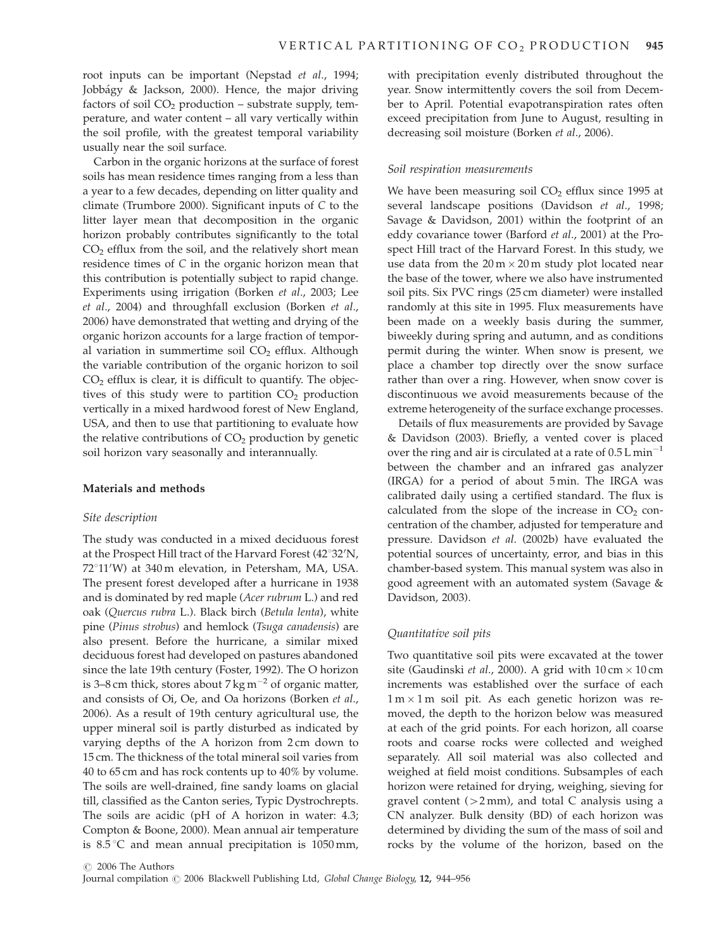root inputs can be important (Nepstad et al., 1994; Jobbágy & Jackson, 2000). Hence, the major driving factors of soil  $CO<sub>2</sub>$  production – substrate supply, temperature, and water content – all vary vertically within the soil profile, with the greatest temporal variability usually near the soil surface.

Carbon in the organic horizons at the surface of forest soils has mean residence times ranging from a less than a year to a few decades, depending on litter quality and climate (Trumbore 2000). Significant inputs of C to the litter layer mean that decomposition in the organic horizon probably contributes significantly to the total  $CO<sub>2</sub>$  efflux from the soil, and the relatively short mean residence times of C in the organic horizon mean that this contribution is potentially subject to rapid change. Experiments using irrigation (Borken et al., 2003; Lee et al., 2004) and throughfall exclusion (Borken et al., 2006) have demonstrated that wetting and drying of the organic horizon accounts for a large fraction of temporal variation in summertime soil  $CO<sub>2</sub>$  efflux. Although the variable contribution of the organic horizon to soil  $CO<sub>2</sub>$  efflux is clear, it is difficult to quantify. The objectives of this study were to partition  $CO<sub>2</sub>$  production vertically in a mixed hardwood forest of New England, USA, and then to use that partitioning to evaluate how the relative contributions of  $CO<sub>2</sub>$  production by genetic soil horizon vary seasonally and interannually.

## Materials and methods

## Site description

The study was conducted in a mixed deciduous forest at the Prospect Hill tract of the Harvard Forest (42°32'N, 72°11'W) at 340 m elevation, in Petersham, MA, USA. The present forest developed after a hurricane in 1938 and is dominated by red maple (Acer rubrum L.) and red oak (Quercus rubra L.). Black birch (Betula lenta), white pine (Pinus strobus) and hemlock (Tsuga canadensis) are also present. Before the hurricane, a similar mixed deciduous forest had developed on pastures abandoned since the late 19th century (Foster, 1992). The O horizon is 3–8 cm thick, stores about 7 kg  $\text{m}^{-2}$  of organic matter, and consists of Oi, Oe, and Oa horizons (Borken et al., 2006). As a result of 19th century agricultural use, the upper mineral soil is partly disturbed as indicated by varying depths of the A horizon from 2 cm down to 15 cm. The thickness of the total mineral soil varies from 40 to 65 cm and has rock contents up to 40% by volume. The soils are well-drained, fine sandy loams on glacial till, classified as the Canton series, Typic Dystrochrepts. The soils are acidic (pH of A horizon in water: 4.3; Compton & Boone, 2000). Mean annual air temperature is  $8.5\textdegree C$  and mean annual precipitation is  $1050\text{ mm}$ ,

with precipitation evenly distributed throughout the year. Snow intermittently covers the soil from December to April. Potential evapotranspiration rates often exceed precipitation from June to August, resulting in decreasing soil moisture (Borken et al., 2006).

## Soil respiration measurements

We have been measuring soil  $CO<sub>2</sub>$  efflux since 1995 at several landscape positions (Davidson et al., 1998; Savage & Davidson, 2001) within the footprint of an eddy covariance tower (Barford et al., 2001) at the Prospect Hill tract of the Harvard Forest. In this study, we use data from the  $20 \,\mathrm{m} \times 20 \,\mathrm{m}$  study plot located near the base of the tower, where we also have instrumented soil pits. Six PVC rings (25 cm diameter) were installed randomly at this site in 1995. Flux measurements have been made on a weekly basis during the summer, biweekly during spring and autumn, and as conditions permit during the winter. When snow is present, we place a chamber top directly over the snow surface rather than over a ring. However, when snow cover is discontinuous we avoid measurements because of the extreme heterogeneity of the surface exchange processes.

Details of flux measurements are provided by Savage & Davidson (2003). Briefly, a vented cover is placed over the ring and air is circulated at a rate of  $0.5 L min^{-1}$ between the chamber and an infrared gas analyzer (IRGA) for a period of about 5 min. The IRGA was calibrated daily using a certified standard. The flux is calculated from the slope of the increase in  $CO<sub>2</sub>$  concentration of the chamber, adjusted for temperature and pressure. Davidson et al. (2002b) have evaluated the potential sources of uncertainty, error, and bias in this chamber-based system. This manual system was also in good agreement with an automated system (Savage & Davidson, 2003).

## Quantitative soil pits

Two quantitative soil pits were excavated at the tower site (Gaudinski et al., 2000). A grid with  $10 \text{ cm} \times 10 \text{ cm}$ increments was established over the surface of each  $1 m \times 1 m$  soil pit. As each genetic horizon was removed, the depth to the horizon below was measured at each of the grid points. For each horizon, all coarse roots and coarse rocks were collected and weighed separately. All soil material was also collected and weighed at field moist conditions. Subsamples of each horizon were retained for drying, weighing, sieving for gravel content  $(>2 \text{ mm})$ , and total C analysis using a CN analyzer. Bulk density (BD) of each horizon was determined by dividing the sum of the mass of soil and rocks by the volume of the horizon, based on the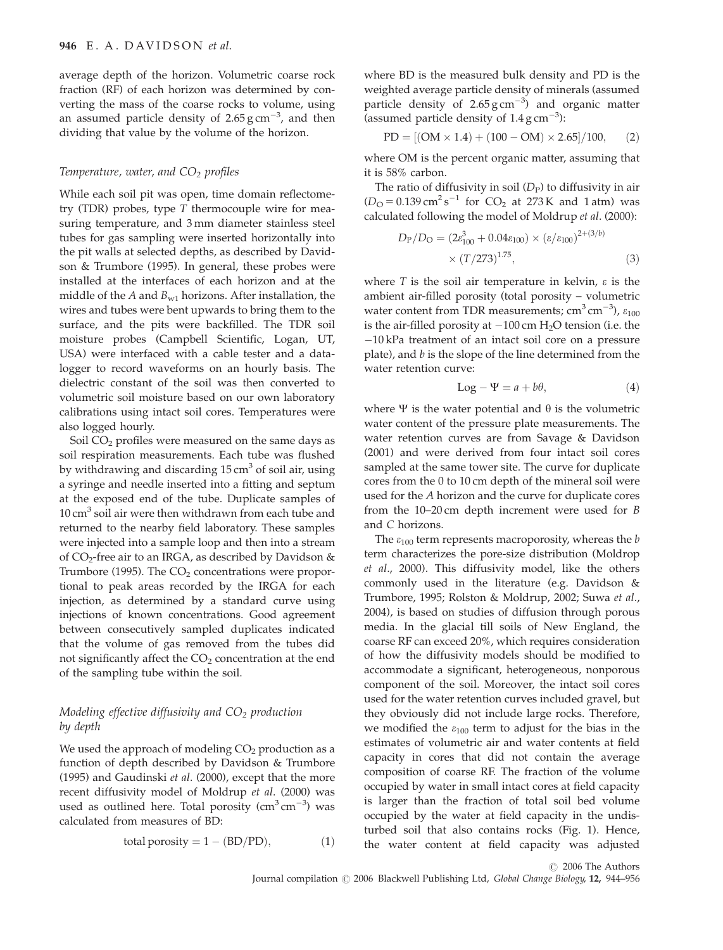average depth of the horizon. Volumetric coarse rock fraction (RF) of each horizon was determined by converting the mass of the coarse rocks to volume, using an assumed particle density of 2.65  $\rm g\,cm^{-3}$ , and then dividing that value by the volume of the horizon.

## Temperature, water, and  $CO<sub>2</sub>$  profiles

While each soil pit was open, time domain reflectometry (TDR) probes, type T thermocouple wire for measuring temperature, and 3 mm diameter stainless steel tubes for gas sampling were inserted horizontally into the pit walls at selected depths, as described by Davidson & Trumbore (1995). In general, these probes were installed at the interfaces of each horizon and at the middle of the A and  $B_{w1}$  horizons. After installation, the wires and tubes were bent upwards to bring them to the surface, and the pits were backfilled. The TDR soil moisture probes (Campbell Scientific, Logan, UT, USA) were interfaced with a cable tester and a datalogger to record waveforms on an hourly basis. The dielectric constant of the soil was then converted to volumetric soil moisture based on our own laboratory calibrations using intact soil cores. Temperatures were also logged hourly.

Soil CO<sub>2</sub> profiles were measured on the same days as soil respiration measurements. Each tube was flushed by withdrawing and discarding  $15 \text{ cm}^3$  of soil air, using a syringe and needle inserted into a fitting and septum at the exposed end of the tube. Duplicate samples of  $10 \text{ cm}^3$  soil air were then withdrawn from each tube and returned to the nearby field laboratory. These samples were injected into a sample loop and then into a stream of CO<sub>2</sub>-free air to an IRGA, as described by Davidson  $\&$ Trumbore (1995). The  $CO<sub>2</sub>$  concentrations were proportional to peak areas recorded by the IRGA for each injection, as determined by a standard curve using injections of known concentrations. Good agreement between consecutively sampled duplicates indicated that the volume of gas removed from the tubes did not significantly affect the  $CO<sub>2</sub>$  concentration at the end of the sampling tube within the soil.

# Modeling effective diffusivity and  $CO<sub>2</sub>$  production by depth

We used the approach of modeling  $CO<sub>2</sub>$  production as a function of depth described by Davidson & Trumbore (1995) and Gaudinski et al. (2000), except that the more recent diffusivity model of Moldrup et al. (2000) was used as outlined here. Total porosity  $\rm (cm^3\,cm^{-3})$  was calculated from measures of BD:

total porosity = 
$$
1 - (BD/PD)
$$
, (1)

where BD is the measured bulk density and PD is the weighted average particle density of minerals (assumed particle density of  $2.65\,\text{g}\,\text{cm}^{-3}$  and organic matter (assumed particle density of  $1.4 \text{ g cm}^{-3}$ ):

$$
PD = [(OM \times 1.4) + (100 - OM) \times 2.65]/100, \quad (2)
$$

where OM is the percent organic matter, assuming that it is 58% carbon.

The ratio of diffusivity in soil  $(D_P)$  to diffusivity in air  $(D<sub>O</sub> = 0.139 \text{ cm}^2 \text{ s}^{-1}$  for CO<sub>2</sub> at 273 K and 1 atm) was calculated following the model of Moldrup et al. (2000):

$$
D_{\rm P}/D_{\rm O} = (2\varepsilon_{100}^3 + 0.04\varepsilon_{100}) \times (\varepsilon/\varepsilon_{100})^{2 + (3/b)} \times (T/273)^{1.75},\tag{3}
$$

where T is the soil air temperature in kelvin,  $\varepsilon$  is the ambient air-filled porosity (total porosity – volumetric water content from TDR measurements;  $\text{cm}^3 \text{ cm}^{-3}$ ),  $\varepsilon_{100}$ is the air-filled porosity at  $-100$  cm  $H<sub>2</sub>O$  tension (i.e. the  $-10$  kPa treatment of an intact soil core on a pressure plate), and  $b$  is the slope of the line determined from the water retention curve:

$$
Log - \Psi = a + b\theta,
$$
\n(4)

where  $\Psi$  is the water potential and  $\theta$  is the volumetric water content of the pressure plate measurements. The water retention curves are from Savage & Davidson (2001) and were derived from four intact soil cores sampled at the same tower site. The curve for duplicate cores from the 0 to 10 cm depth of the mineral soil were used for the A horizon and the curve for duplicate cores from the 10–20 cm depth increment were used for B and C horizons.

The  $\varepsilon_{100}$  term represents macroporosity, whereas the b term characterizes the pore-size distribution (Moldrop et al., 2000). This diffusivity model, like the others commonly used in the literature (e.g. Davidson & Trumbore, 1995; Rolston & Moldrup, 2002; Suwa et al., 2004), is based on studies of diffusion through porous media. In the glacial till soils of New England, the coarse RF can exceed 20%, which requires consideration of how the diffusivity models should be modified to accommodate a significant, heterogeneous, nonporous component of the soil. Moreover, the intact soil cores used for the water retention curves included gravel, but they obviously did not include large rocks. Therefore, we modified the  $\varepsilon_{100}$  term to adjust for the bias in the estimates of volumetric air and water contents at field capacity in cores that did not contain the average composition of coarse RF. The fraction of the volume occupied by water in small intact cores at field capacity is larger than the fraction of total soil bed volume occupied by the water at field capacity in the undisturbed soil that also contains rocks (Fig. 1). Hence, the water content at field capacity was adjusted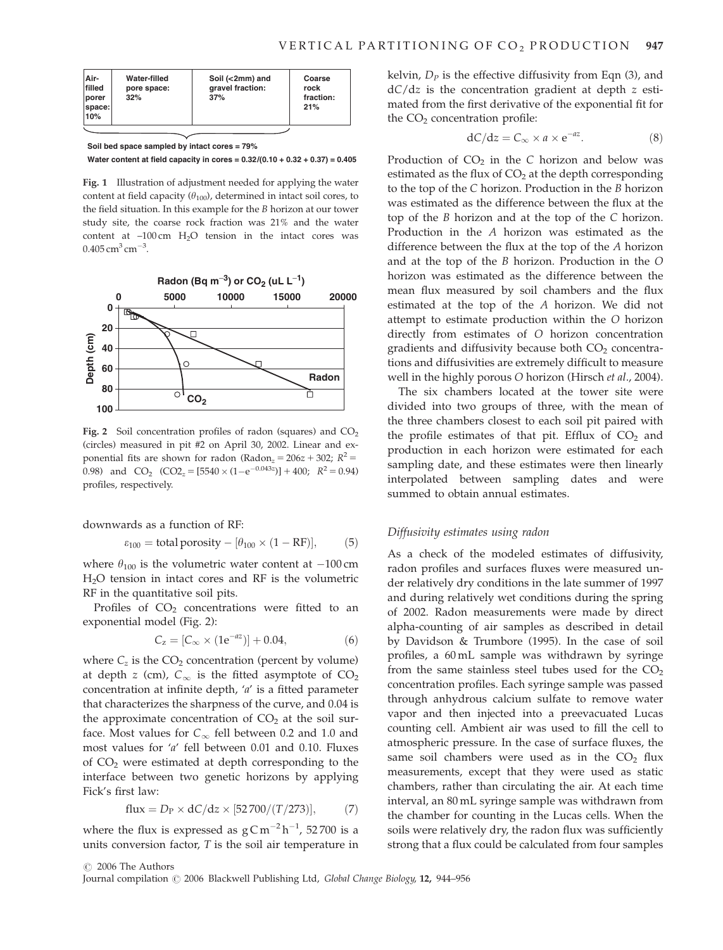| Air-<br>filled<br><b>I</b> porer<br>space:<br>10% | Water-filled<br>pore space:<br>32% | Soil (<2mm) and<br>gravel fraction:<br>37% | Coarse<br>rock<br>fraction:<br>21% |
|---------------------------------------------------|------------------------------------|--------------------------------------------|------------------------------------|
|---------------------------------------------------|------------------------------------|--------------------------------------------|------------------------------------|

**Soil bed space sampled by intact cores = 79%**

**Water content at field capacity in cores = 0.32/(0.10 + 0.32 + 0.37) = 0.405**

Fig. 1 Illustration of adjustment needed for applying the water content at field capacity  $(\theta_{100})$ , determined in intact soil cores, to the field situation. In this example for the B horizon at our tower study site, the coarse rock fraction was 21% and the water content at  $-100 \text{ cm}$  H<sub>2</sub>O tension in the intact cores was  $0.405 \,\mathrm{cm}^3 \,\mathrm{cm}^{-3}$ .



Fig. 2 Soil concentration profiles of radon (squares) and  $CO<sub>2</sub>$ (circles) measured in pit #2 on April 30, 2002. Linear and exponential fits are shown for radon (Radon<sub>z</sub> =  $206z + 302$ ;  $R^2$  = 0.98) and  $CO_2$   $(CO2_z = [5540 \times (1-e^{-0.043z})] + 400;$   $R^2 = 0.94$ profiles, respectively.

downwards as a function of RF:

$$
\varepsilon_{100} = \text{total porosity} - [\theta_{100} \times (1 - \text{RF})], \quad (5)
$$

where  $\theta_{100}$  is the volumetric water content at  $-100$  cm H2O tension in intact cores and RF is the volumetric RF in the quantitative soil pits.

Profiles of  $CO<sub>2</sub>$  concentrations were fitted to an exponential model (Fig. 2):

$$
C_z = [C_{\infty} \times (1e^{-az})] + 0.04, \tag{6}
$$

where  $C_z$  is the  $CO_2$  concentration (percent by volume) at depth z (cm),  $C_{\infty}$  is the fitted asymptote of  $CO<sub>2</sub>$ concentration at infinite depth, 'a' is a fitted parameter that characterizes the sharpness of the curve, and 0.04 is the approximate concentration of  $CO<sub>2</sub>$  at the soil surface. Most values for  $C_{\infty}$  fell between 0.2 and 1.0 and most values for 'a' fell between 0.01 and 0.10. Fluxes of  $CO<sub>2</sub>$  were estimated at depth corresponding to the interface between two genetic horizons by applying Fick's first law:

$$
flux = D_P \times dC/dz \times [52700/(T/273)], \qquad (7)
$$

where the flux is expressed as  $gCm^{-2}h^{-1}$ , 52 700 is a units conversion factor, T is the soil air temperature in kelvin,  $D_p$  is the effective diffusivity from Eqn (3), and dC/dz is the concentration gradient at depth z estimated from the first derivative of the exponential fit for the  $CO<sub>2</sub>$  concentration profile:

$$
dC/dz = C_{\infty} \times a \times e^{-az}.
$$
 (8)

Production of  $CO<sub>2</sub>$  in the C horizon and below was estimated as the flux of  $CO<sub>2</sub>$  at the depth corresponding to the top of the C horizon. Production in the B horizon was estimated as the difference between the flux at the top of the B horizon and at the top of the C horizon. Production in the A horizon was estimated as the difference between the flux at the top of the A horizon and at the top of the B horizon. Production in the O horizon was estimated as the difference between the mean flux measured by soil chambers and the flux estimated at the top of the A horizon. We did not attempt to estimate production within the O horizon directly from estimates of O horizon concentration gradients and diffusivity because both  $CO<sub>2</sub>$  concentrations and diffusivities are extremely difficult to measure well in the highly porous O horizon (Hirsch et al., 2004).

The six chambers located at the tower site were divided into two groups of three, with the mean of the three chambers closest to each soil pit paired with the profile estimates of that pit. Efflux of  $CO<sub>2</sub>$  and production in each horizon were estimated for each sampling date, and these estimates were then linearly interpolated between sampling dates and were summed to obtain annual estimates.

## Diffusivity estimates using radon

As a check of the modeled estimates of diffusivity, radon profiles and surfaces fluxes were measured under relatively dry conditions in the late summer of 1997 and during relatively wet conditions during the spring of 2002. Radon measurements were made by direct alpha-counting of air samples as described in detail by Davidson & Trumbore (1995). In the case of soil profiles, a 60 mL sample was withdrawn by syringe from the same stainless steel tubes used for the  $CO<sub>2</sub>$ concentration profiles. Each syringe sample was passed through anhydrous calcium sulfate to remove water vapor and then injected into a preevacuated Lucas counting cell. Ambient air was used to fill the cell to atmospheric pressure. In the case of surface fluxes, the same soil chambers were used as in the  $CO<sub>2</sub>$  flux measurements, except that they were used as static chambers, rather than circulating the air. At each time interval, an 80 mL syringe sample was withdrawn from the chamber for counting in the Lucas cells. When the soils were relatively dry, the radon flux was sufficiently strong that a flux could be calculated from four samples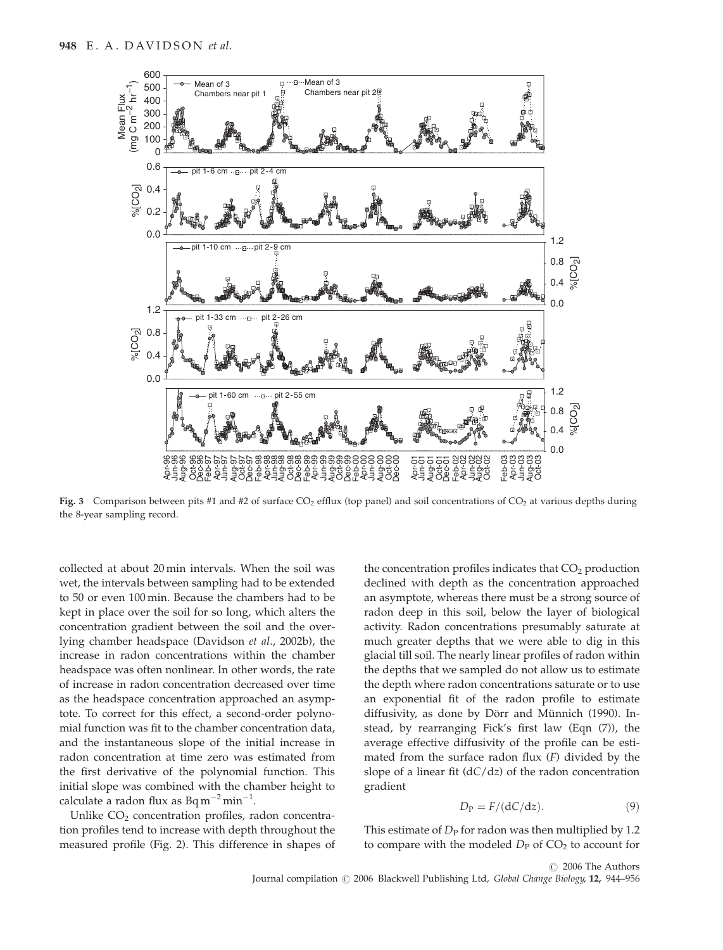

Fig. 3 Comparison between pits #1 and #2 of surface  $CO_2$  efflux (top panel) and soil concentrations of  $CO_2$  at various depths during the 8-year sampling record.

collected at about 20 min intervals. When the soil was wet, the intervals between sampling had to be extended to 50 or even 100 min. Because the chambers had to be kept in place over the soil for so long, which alters the concentration gradient between the soil and the overlying chamber headspace (Davidson et al., 2002b), the increase in radon concentrations within the chamber headspace was often nonlinear. In other words, the rate of increase in radon concentration decreased over time as the headspace concentration approached an asymptote. To correct for this effect, a second-order polynomial function was fit to the chamber concentration data, and the instantaneous slope of the initial increase in radon concentration at time zero was estimated from the first derivative of the polynomial function. This initial slope was combined with the chamber height to calculate a radon flux as  $Bq m^{-2} min^{-1}$ .

Unlike  $CO<sub>2</sub>$  concentration profiles, radon concentration profiles tend to increase with depth throughout the measured profile (Fig. 2). This difference in shapes of the concentration profiles indicates that  $CO<sub>2</sub>$  production declined with depth as the concentration approached an asymptote, whereas there must be a strong source of radon deep in this soil, below the layer of biological activity. Radon concentrations presumably saturate at much greater depths that we were able to dig in this glacial till soil. The nearly linear profiles of radon within the depths that we sampled do not allow us to estimate the depth where radon concentrations saturate or to use an exponential fit of the radon profile to estimate diffusivity, as done by Dörr and Münnich (1990). Instead, by rearranging Fick's first law (Eqn (7)), the average effective diffusivity of the profile can be estimated from the surface radon flux  $(F)$  divided by the slope of a linear fit  $(dC/dz)$  of the radon concentration gradient

$$
D_{\rm P} = F/(\mathrm{d}C/\mathrm{d}z). \tag{9}
$$

This estimate of  $D<sub>P</sub>$  for radon was then multiplied by 1.2 to compare with the modeled  $D_P$  of  $CO<sub>2</sub>$  to account for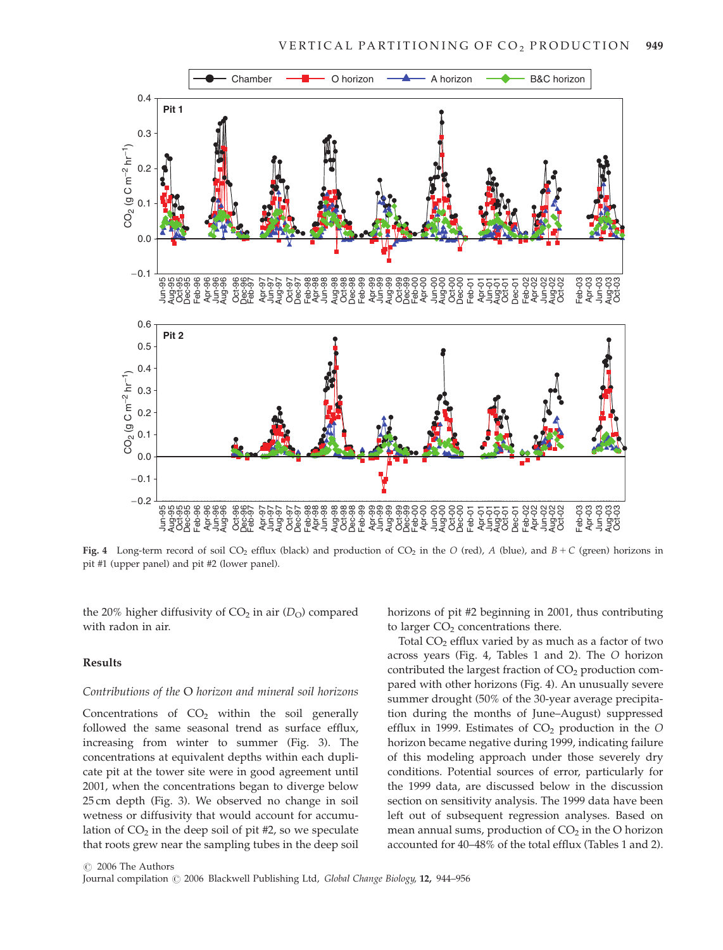

Fig. 4 Long-term record of soil CO<sub>2</sub> efflux (black) and production of CO<sub>2</sub> in the O (red), A (blue), and  $B + C$  (green) horizons in pit #1 (upper panel) and pit #2 (lower panel).

the 20% higher diffusivity of  $CO<sub>2</sub>$  in air  $(D<sub>O</sub>)$  compared with radon in air.

## Results

#### Contributions of the O horizon and mineral soil horizons

Concentrations of  $CO<sub>2</sub>$  within the soil generally followed the same seasonal trend as surface efflux, increasing from winter to summer (Fig. 3). The concentrations at equivalent depths within each duplicate pit at the tower site were in good agreement until 2001, when the concentrations began to diverge below 25 cm depth (Fig. 3). We observed no change in soil wetness or diffusivity that would account for accumulation of  $CO<sub>2</sub>$  in the deep soil of pit #2, so we speculate that roots grew near the sampling tubes in the deep soil horizons of pit #2 beginning in 2001, thus contributing to larger  $CO<sub>2</sub>$  concentrations there.

Total  $CO<sub>2</sub>$  efflux varied by as much as a factor of two across years (Fig. 4, Tables 1 and 2). The O horizon contributed the largest fraction of  $CO<sub>2</sub>$  production compared with other horizons (Fig. 4). An unusually severe summer drought (50% of the 30-year average precipitation during the months of June–August) suppressed efflux in 1999. Estimates of  $CO<sub>2</sub>$  production in the O horizon became negative during 1999, indicating failure of this modeling approach under those severely dry conditions. Potential sources of error, particularly for the 1999 data, are discussed below in the discussion section on sensitivity analysis. The 1999 data have been left out of subsequent regression analyses. Based on mean annual sums, production of  $CO<sub>2</sub>$  in the O horizon accounted for 40–48% of the total efflux (Tables 1 and 2).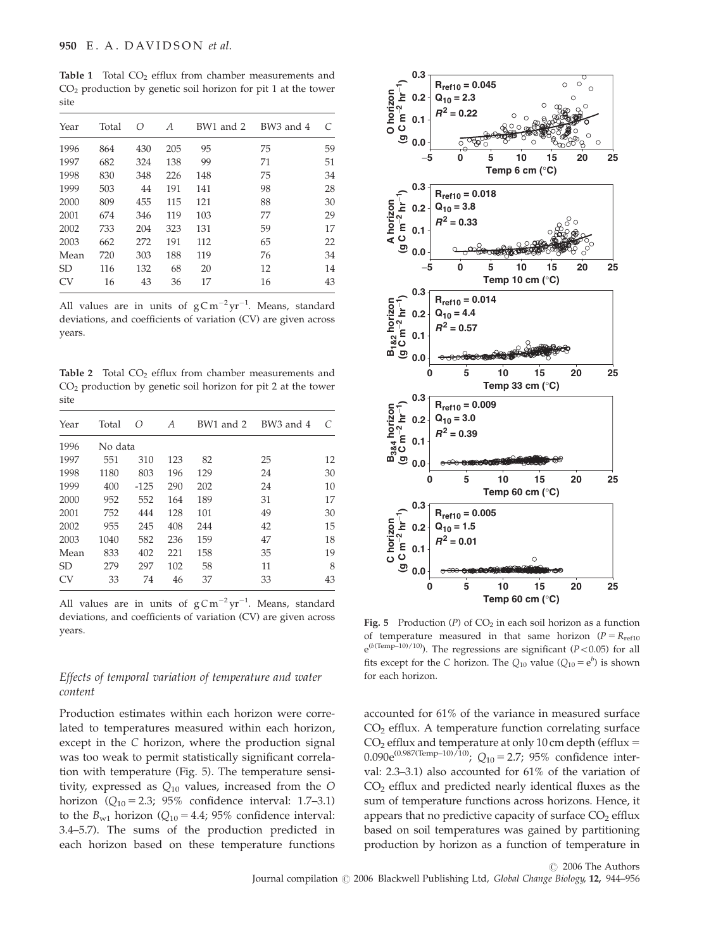Table 1 Total  $CO<sub>2</sub>$  efflux from chamber measurements and  $CO<sub>2</sub>$  production by genetic soil horizon for pit 1 at the tower site

| Year           | Total | Ω   | A   | BW1 and 2 | BW3 and 4 | C  |
|----------------|-------|-----|-----|-----------|-----------|----|
| 1996           | 864   | 430 | 205 | 95        | 75        | 59 |
| 1997           | 682   | 324 | 138 | 99        | 71        | 51 |
| 1998           | 830   | 348 | 226 | 148       | 75        | 34 |
| 1999           | 503   | 44  | 191 | 141       | 98        | 28 |
| 2000           | 809   | 455 | 115 | 121       | 88        | 30 |
| 2001           | 674   | 346 | 119 | 103       | 77        | 29 |
| 2002           | 733   | 204 | 323 | 131       | 59        | 17 |
| 2003           | 662   | 272 | 191 | 112       | 65        | 22 |
| Mean           | 720   | 303 | 188 | 119       | 76        | 34 |
| <b>SD</b>      | 116   | 132 | 68  | 20        | 12        | 14 |
| CV <sub></sub> | 16    | 43  | 36  | 17        | 16        | 43 |

All values are in units of  $gCm^{-2}yr^{-1}$ . Means, standard deviations, and coefficients of variation (CV) are given across years.

Table 2 Total CO<sub>2</sub> efflux from chamber measurements and  $CO<sub>2</sub>$  production by genetic soil horizon for pit 2 at the tower site

| Year           | Total   | Ω      | A   | BW1 and 2 | BW3 and 4 |    |  |  |  |
|----------------|---------|--------|-----|-----------|-----------|----|--|--|--|
| 1996           | No data |        |     |           |           |    |  |  |  |
| 1997           | 551     | 310    | 123 | 82        | 25        | 12 |  |  |  |
| 1998           | 1180    | 803    | 196 | 129       | 24        | 30 |  |  |  |
| 1999           | 400     | $-125$ | 290 | 202       | 24        | 10 |  |  |  |
| 2000           | 952     | 552    | 164 | 189       | 31        | 17 |  |  |  |
| 2001           | 752     | 444    | 128 | 101       | 49        | 30 |  |  |  |
| 2002           | 955     | 245    | 408 | 244       | 42        | 15 |  |  |  |
| 2003           | 1040    | 582    | 236 | 159       | 47        | 18 |  |  |  |
| Mean           | 833     | 402    | 221 | 158       | 35        | 19 |  |  |  |
| <b>SD</b>      | 279     | 297    | 102 | 58        | 11        | 8  |  |  |  |
| CV <sub></sub> | 33      | 74     | 46  | 37        | 33        | 43 |  |  |  |

All values are in units of  $gCm^{-2}yr^{-1}$ . Means, standard deviations, and coefficients of variation (CV) are given across years.

# Effects of temporal variation of temperature and water content

Production estimates within each horizon were correlated to temperatures measured within each horizon, except in the C horizon, where the production signal was too weak to permit statistically significant correlation with temperature (Fig. 5). The temperature sensitivity, expressed as  $Q_{10}$  values, increased from the O horizon ( $Q_{10} = 2.3$ ; 95% confidence interval: 1.7–3.1) to the  $B_{w1}$  horizon ( $Q_{10} = 4.4$ ; 95% confidence interval: 3.4–5.7). The sums of the production predicted in each horizon based on these temperature functions



Fig. 5 Production  $(P)$  of  $CO<sub>2</sub>$  in each soil horizon as a function of temperature measured in that same horizon ( $P = R_{ref10}$ )  $e^{(b(Temp-10)/10)}$ ). The regressions are significant (P<0.05) for all fits except for the C horizon. The  $Q_{10}$  value  $(Q_{10} = e^b)$  is shown for each horizon.

accounted for 61% of the variance in measured surface CO<sub>2</sub> efflux. A temperature function correlating surface  $CO<sub>2</sub>$  efflux and temperature at only 10 cm depth (efflux = 0.090e<sup>(0.987(Temp–10)/10)</sup>; Q<sub>10</sub> = 2.7; 95% confidence interval: 2.3–3.1) also accounted for 61% of the variation of CO2 efflux and predicted nearly identical fluxes as the sum of temperature functions across horizons. Hence, it appears that no predictive capacity of surface  $CO<sub>2</sub>$  efflux based on soil temperatures was gained by partitioning production by horizon as a function of temperature in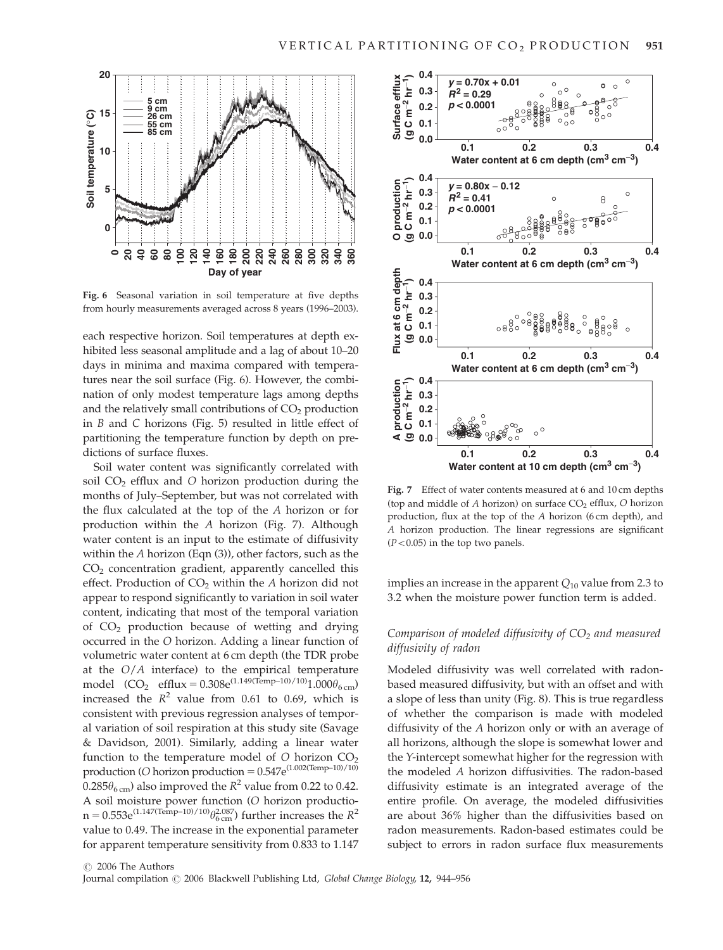

Fig. 6 Seasonal variation in soil temperature at five depths from hourly measurements averaged across 8 years (1996–2003).

each respective horizon. Soil temperatures at depth exhibited less seasonal amplitude and a lag of about 10–20 days in minima and maxima compared with temperatures near the soil surface (Fig. 6). However, the combination of only modest temperature lags among depths and the relatively small contributions of  $CO<sub>2</sub>$  production in B and C horizons (Fig. 5) resulted in little effect of partitioning the temperature function by depth on predictions of surface fluxes.

Soil water content was significantly correlated with soil CO<sub>2</sub> efflux and O horizon production during the months of July–September, but was not correlated with the flux calculated at the top of the A horizon or for production within the A horizon (Fig. 7). Although water content is an input to the estimate of diffusivity within the A horizon (Eqn (3)), other factors, such as the  $CO<sub>2</sub>$  concentration gradient, apparently cancelled this effect. Production of  $CO<sub>2</sub>$  within the A horizon did not appear to respond significantly to variation in soil water content, indicating that most of the temporal variation of  $CO<sub>2</sub>$  production because of wetting and drying occurred in the O horizon. Adding a linear function of volumetric water content at 6 cm depth (the TDR probe at the  $O/A$  interface) to the empirical temperature model  $(CO_2 \text{ efflux} = 0.308e^{(1.149(Temp-10)/10)}1.000\theta_{6 \text{ cm}})$ increased the  $R^2$  value from 0.61 to 0.69, which is consistent with previous regression analyses of temporal variation of soil respiration at this study site (Savage & Davidson, 2001). Similarly, adding a linear water function to the temperature model of  $O$  horizon  $CO<sub>2</sub>$ production (O horizon production =  $0.547e^{(1.002(Temp-10)/10)}$  $0.285\theta_{6 \text{ cm}}$ ) also improved the  $R^2$  value from 0.22 to 0.42. A soil moisture power function (O horizon productio $n = 0.553e^{(1.147(Temp-10)/10)}\theta_{6 \text{ cm}}^{2.087}$  further increases the  $R^2$ value to 0.49. The increase in the exponential parameter for apparent temperature sensitivity from 0.833 to 1.147



Fig. 7 Effect of water contents measured at 6 and 10 cm depths (top and middle of  $A$  horizon) on surface  $CO<sub>2</sub>$  efflux,  $O$  horizon production, flux at the top of the A horizon (6 cm depth), and A horizon production. The linear regressions are significant  $(P<0.05)$  in the top two panels.

implies an increase in the apparent  $Q_{10}$  value from 2.3 to 3.2 when the moisture power function term is added.

# Comparison of modeled diffusivity of  $CO<sub>2</sub>$  and measured diffusivity of radon

Modeled diffusivity was well correlated with radonbased measured diffusivity, but with an offset and with a slope of less than unity (Fig. 8). This is true regardless of whether the comparison is made with modeled diffusivity of the A horizon only or with an average of all horizons, although the slope is somewhat lower and the Y-intercept somewhat higher for the regression with the modeled A horizon diffusivities. The radon-based diffusivity estimate is an integrated average of the entire profile. On average, the modeled diffusivities are about 36% higher than the diffusivities based on radon measurements. Radon-based estimates could be subject to errors in radon surface flux measurements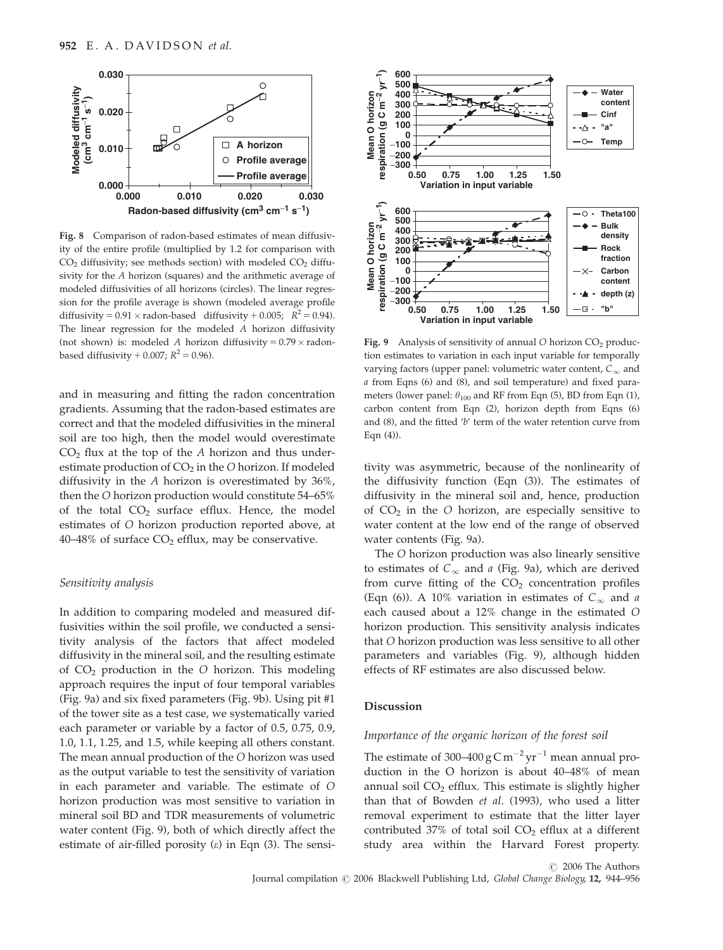

Fig. 8 Comparison of radon-based estimates of mean diffusivity of the entire profile (multiplied by 1.2 for comparison with  $CO<sub>2</sub>$  diffusivity; see methods section) with modeled  $CO<sub>2</sub>$  diffusivity for the A horizon (squares) and the arithmetic average of modeled diffusivities of all horizons (circles). The linear regression for the profile average is shown (modeled average profile diffusivity =  $0.91 \times$  radon-based diffusivity +  $0.005$ ;  $R^2 = 0.94$ ). The linear regression for the modeled A horizon diffusivity (not shown) is: modeled A horizon diffusivity  $= 0.79 \times$  radonbased diffusivity + 0.007;  $R^2 = 0.96$ ).

and in measuring and fitting the radon concentration gradients. Assuming that the radon-based estimates are correct and that the modeled diffusivities in the mineral soil are too high, then the model would overestimate  $CO<sub>2</sub>$  flux at the top of the A horizon and thus underestimate production of  $CO<sub>2</sub>$  in the O horizon. If modeled diffusivity in the A horizon is overestimated by 36%, then the O horizon production would constitute 54–65% of the total  $CO<sub>2</sub>$  surface efflux. Hence, the model estimates of O horizon production reported above, at 40–48% of surface  $CO<sub>2</sub>$  efflux, may be conservative.

# Sensitivity analysis

In addition to comparing modeled and measured diffusivities within the soil profile, we conducted a sensitivity analysis of the factors that affect modeled diffusivity in the mineral soil, and the resulting estimate of  $CO<sub>2</sub>$  production in the O horizon. This modeling approach requires the input of four temporal variables (Fig. 9a) and six fixed parameters (Fig. 9b). Using pit #1 of the tower site as a test case, we systematically varied each parameter or variable by a factor of 0.5, 0.75, 0.9, 1.0, 1.1, 1.25, and 1.5, while keeping all others constant. The mean annual production of the O horizon was used as the output variable to test the sensitivity of variation in each parameter and variable. The estimate of O horizon production was most sensitive to variation in mineral soil BD and TDR measurements of volumetric water content (Fig. 9), both of which directly affect the estimate of air-filled porosity  $(\varepsilon)$  in Eqn  $(3)$ . The sensi-



Fig. 9 Analysis of sensitivity of annual O horizon  $CO<sub>2</sub>$  production estimates to variation in each input variable for temporally varying factors (upper panel: volumetric water content,  $C_{\infty}$  and a from Eqns (6) and (8), and soil temperature) and fixed parameters (lower panel:  $\theta_{100}$  and RF from Eqn (5), BD from Eqn (1), carbon content from Eqn (2), horizon depth from Eqns (6) and (8), and the fitted 'b' term of the water retention curve from Eqn (4)).

tivity was asymmetric, because of the nonlinearity of the diffusivity function (Eqn (3)). The estimates of diffusivity in the mineral soil and, hence, production of  $CO<sub>2</sub>$  in the O horizon, are especially sensitive to water content at the low end of the range of observed water contents (Fig. 9a).

The O horizon production was also linearly sensitive to estimates of  $C_{\infty}$  and a (Fig. 9a), which are derived from curve fitting of the  $CO<sub>2</sub>$  concentration profiles (Eqn (6)). A 10% variation in estimates of  $C_{\infty}$  and a each caused about a 12% change in the estimated O horizon production. This sensitivity analysis indicates that O horizon production was less sensitive to all other parameters and variables (Fig. 9), although hidden effects of RF estimates are also discussed below.

### Discussion

## Importance of the organic horizon of the forest soil

The estimate of 300–400 g C m<sup>-2</sup> yr<sup>-1</sup> mean annual production in the O horizon is about 40–48% of mean annual soil  $CO<sub>2</sub>$  efflux. This estimate is slightly higher than that of Bowden et al. (1993), who used a litter removal experiment to estimate that the litter layer contributed 37% of total soil  $CO<sub>2</sub>$  efflux at a different study area within the Harvard Forest property.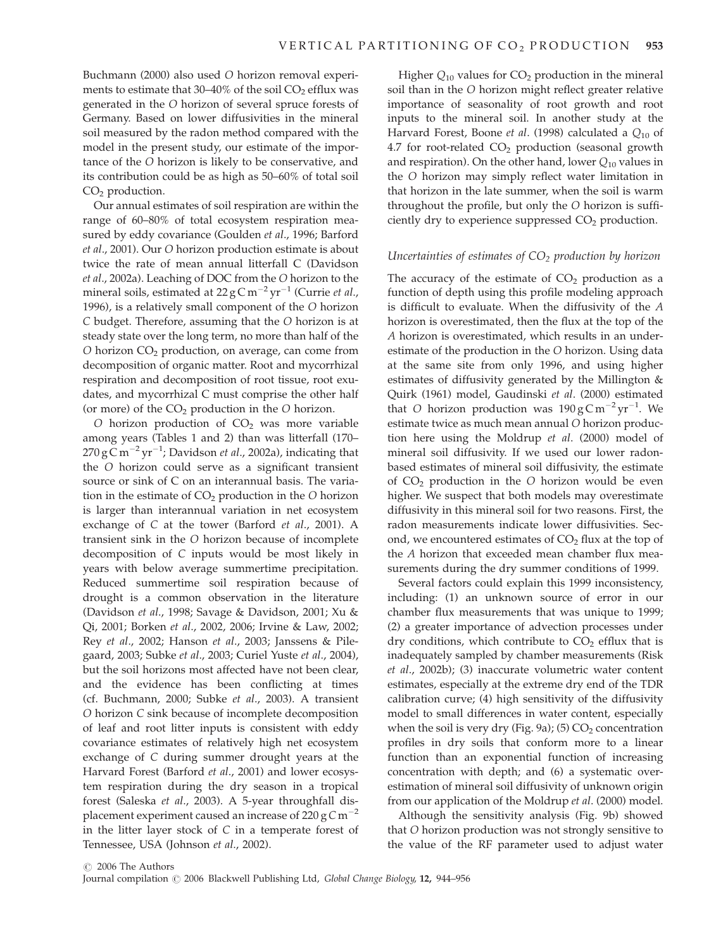Buchmann (2000) also used O horizon removal experiments to estimate that  $30-40\%$  of the soil  $CO<sub>2</sub>$  efflux was generated in the O horizon of several spruce forests of Germany. Based on lower diffusivities in the mineral soil measured by the radon method compared with the model in the present study, our estimate of the importance of the O horizon is likely to be conservative, and its contribution could be as high as 50–60% of total soil  $CO<sub>2</sub>$  production.

Our annual estimates of soil respiration are within the range of 60–80% of total ecosystem respiration measured by eddy covariance (Goulden et al., 1996; Barford et al., 2001). Our O horizon production estimate is about twice the rate of mean annual litterfall C (Davidson et al., 2002a). Leaching of DOC from the O horizon to the mineral soils, estimated at  $22 g C m^{-2} yr^{-1}$  (Currie et al., 1996), is a relatively small component of the O horizon C budget. Therefore, assuming that the O horizon is at steady state over the long term, no more than half of the O horizon  $CO<sub>2</sub>$  production, on average, can come from decomposition of organic matter. Root and mycorrhizal respiration and decomposition of root tissue, root exudates, and mycorrhizal C must comprise the other half (or more) of the  $CO<sub>2</sub>$  production in the O horizon.

O horizon production of  $CO<sub>2</sub>$  was more variable among years (Tables 1 and 2) than was litterfall (170– 270 g C m $^{-2}$  yr $^{-1}$ ; Davidson *et al.,* 2002a), indicating that the O horizon could serve as a significant transient source or sink of C on an interannual basis. The variation in the estimate of  $CO<sub>2</sub>$  production in the O horizon is larger than interannual variation in net ecosystem exchange of C at the tower (Barford et al., 2001). A transient sink in the O horizon because of incomplete decomposition of C inputs would be most likely in years with below average summertime precipitation. Reduced summertime soil respiration because of drought is a common observation in the literature (Davidson et al., 1998; Savage & Davidson, 2001; Xu & Qi, 2001; Borken et al., 2002, 2006; Irvine & Law, 2002; Rey et al., 2002; Hanson et al., 2003; Janssens & Pilegaard, 2003; Subke et al., 2003; Curiel Yuste et al., 2004), but the soil horizons most affected have not been clear, and the evidence has been conflicting at times (cf. Buchmann, 2000; Subke et al., 2003). A transient O horizon C sink because of incomplete decomposition of leaf and root litter inputs is consistent with eddy covariance estimates of relatively high net ecosystem exchange of C during summer drought years at the Harvard Forest (Barford et al., 2001) and lower ecosystem respiration during the dry season in a tropical forest (Saleska et al., 2003). A 5-year throughfall displacement experiment caused an increase of 220 g  $C m^{-2}$ in the litter layer stock of C in a temperate forest of Tennessee, USA (Johnson et al., 2002).

Higher  $Q_{10}$  values for  $CO<sub>2</sub>$  production in the mineral soil than in the O horizon might reflect greater relative importance of seasonality of root growth and root inputs to the mineral soil. In another study at the Harvard Forest, Boone et al. (1998) calculated a  $Q_{10}$  of 4.7 for root-related  $CO<sub>2</sub>$  production (seasonal growth and respiration). On the other hand, lower  $Q_{10}$  values in the O horizon may simply reflect water limitation in that horizon in the late summer, when the soil is warm throughout the profile, but only the O horizon is sufficiently dry to experience suppressed  $CO<sub>2</sub>$  production.

## Uncertainties of estimates of  $CO<sub>2</sub>$  production by horizon

The accuracy of the estimate of  $CO<sub>2</sub>$  production as a function of depth using this profile modeling approach is difficult to evaluate. When the diffusivity of the A horizon is overestimated, then the flux at the top of the A horizon is overestimated, which results in an underestimate of the production in the O horizon. Using data at the same site from only 1996, and using higher estimates of diffusivity generated by the Millington  $\&$ Quirk (1961) model, Gaudinski et al. (2000) estimated that O horizon production was  $190 \text{ g C m}^{-2} \text{ yr}^{-1}$ . We estimate twice as much mean annual O horizon production here using the Moldrup et al. (2000) model of mineral soil diffusivity. If we used our lower radonbased estimates of mineral soil diffusivity, the estimate of  $CO<sub>2</sub>$  production in the O horizon would be even higher. We suspect that both models may overestimate diffusivity in this mineral soil for two reasons. First, the radon measurements indicate lower diffusivities. Second, we encountered estimates of  $CO<sub>2</sub>$  flux at the top of the A horizon that exceeded mean chamber flux measurements during the dry summer conditions of 1999.

Several factors could explain this 1999 inconsistency, including: (1) an unknown source of error in our chamber flux measurements that was unique to 1999; (2) a greater importance of advection processes under dry conditions, which contribute to  $CO<sub>2</sub>$  efflux that is inadequately sampled by chamber measurements (Risk et al., 2002b); (3) inaccurate volumetric water content estimates, especially at the extreme dry end of the TDR calibration curve; (4) high sensitivity of the diffusivity model to small differences in water content, especially when the soil is very dry (Fig. 9a); (5)  $CO<sub>2</sub>$  concentration profiles in dry soils that conform more to a linear function than an exponential function of increasing concentration with depth; and (6) a systematic overestimation of mineral soil diffusivity of unknown origin from our application of the Moldrup et al. (2000) model.

Although the sensitivity analysis (Fig. 9b) showed that O horizon production was not strongly sensitive to the value of the RF parameter used to adjust water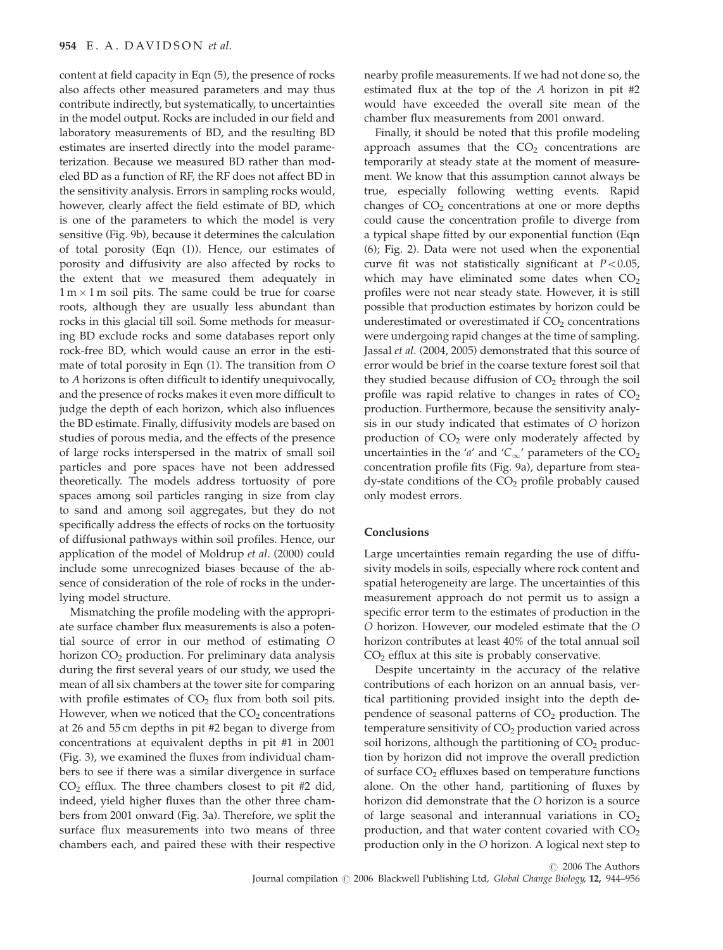content at field capacity in Eqn (5), the presence of rocks also affects other measured parameters and may thus contribute indirectly, but systematically, to uncertainties in the model output. Rocks are included in our field and laboratory measurements of BD, and the resulting BD estimates are inserted directly into the model parameterization. Because we measured BD rather than modeled BD as a function of RF, the RF does not affect BD in the sensitivity analysis. Errors in sampling rocks would, however, clearly affect the field estimate of BD, which is one of the parameters to which the model is very sensitive (Fig. 9b), because it determines the calculation of total porosity (Eqn (1)). Hence, our estimates of porosity and diffusivity are also affected by rocks to the extent that we measured them adequately in  $1\,\mathrm{m}\times1\,\mathrm{m}$  soil pits. The same could be true for coarse roots, although they are usually less abundant than rocks in this glacial till soil. Some methods for measuring BD exclude rocks and some databases report only rock-free BD, which would cause an error in the estimate of total porosity in Eqn (1). The transition from O to A horizons is often difficult to identify unequivocally, and the presence of rocks makes it even more difficult to judge the depth of each horizon, which also influences the BD estimate. Finally, diffusivity models are based on studies of porous media, and the effects of the presence of large rocks interspersed in the matrix of small soil particles and pore spaces have not been addressed theoretically. The models address tortuosity of pore spaces among soil particles ranging in size from clay to sand and among soil aggregates, but they do not specifically address the effects of rocks on the tortuosity of diffusional pathways within soil profiles. Hence, our application of the model of Moldrup et al. (2000) could include some unrecognized biases because of the absence of consideration of the role of rocks in the underlying model structure.

Mismatching the profile modeling with the appropriate surface chamber flux measurements is also a potential source of error in our method of estimating O horizon  $CO<sub>2</sub>$  production. For preliminary data analysis during the first several years of our study, we used the mean of all six chambers at the tower site for comparing with profile estimates of  $CO<sub>2</sub>$  flux from both soil pits. However, when we noticed that the  $CO<sub>2</sub>$  concentrations at 26 and 55 cm depths in pit #2 began to diverge from concentrations at equivalent depths in pit #1 in 2001 (Fig. 3), we examined the fluxes from individual chambers to see if there was a similar divergence in surface  $CO<sub>2</sub>$  efflux. The three chambers closest to pit #2 did, indeed, yield higher fluxes than the other three chambers from 2001 onward (Fig. 3a). Therefore, we split the surface flux measurements into two means of three chambers each, and paired these with their respective

nearby profile measurements. If we had not done so, the estimated flux at the top of the A horizon in pit #2 would have exceeded the overall site mean of the chamber flux measurements from 2001 onward.

Finally, it should be noted that this profile modeling approach assumes that the  $CO<sub>2</sub>$  concentrations are temporarily at steady state at the moment of measurement. We know that this assumption cannot always be true, especially following wetting events. Rapid changes of  $CO<sub>2</sub>$  concentrations at one or more depths could cause the concentration profile to diverge from a typical shape fitted by our exponential function (Eqn (6); Fig. 2). Data were not used when the exponential curve fit was not statistically significant at  $P < 0.05$ , which may have eliminated some dates when  $CO<sub>2</sub>$ profiles were not near steady state. However, it is still possible that production estimates by horizon could be underestimated or overestimated if  $CO<sub>2</sub>$  concentrations were undergoing rapid changes at the time of sampling. Jassal et al. (2004, 2005) demonstrated that this source of error would be brief in the coarse texture forest soil that they studied because diffusion of  $CO<sub>2</sub>$  through the soil profile was rapid relative to changes in rates of  $CO<sub>2</sub>$ production. Furthermore, because the sensitivity analysis in our study indicated that estimates of O horizon production of  $CO<sub>2</sub>$  were only moderately affected by uncertainties in the 'a' and ' $C_{\infty}$ ' parameters of the CO<sub>2</sub> concentration profile fits (Fig. 9a), departure from stea $dy$ -state conditions of the  $CO<sub>2</sub>$  profile probably caused only modest errors.

## Conclusions

Large uncertainties remain regarding the use of diffusivity models in soils, especially where rock content and spatial heterogeneity are large. The uncertainties of this measurement approach do not permit us to assign a specific error term to the estimates of production in the O horizon. However, our modeled estimate that the O horizon contributes at least 40% of the total annual soil  $CO<sub>2</sub>$  efflux at this site is probably conservative.

Despite uncertainty in the accuracy of the relative contributions of each horizon on an annual basis, vertical partitioning provided insight into the depth dependence of seasonal patterns of  $CO<sub>2</sub>$  production. The temperature sensitivity of  $CO<sub>2</sub>$  production varied across soil horizons, although the partitioning of  $CO<sub>2</sub>$  production by horizon did not improve the overall prediction of surface  $CO<sub>2</sub>$  effluxes based on temperature functions alone. On the other hand, partitioning of fluxes by horizon did demonstrate that the O horizon is a source of large seasonal and interannual variations in  $CO<sub>2</sub>$ production, and that water content covaried with  $CO<sub>2</sub>$ production only in the O horizon. A logical next step to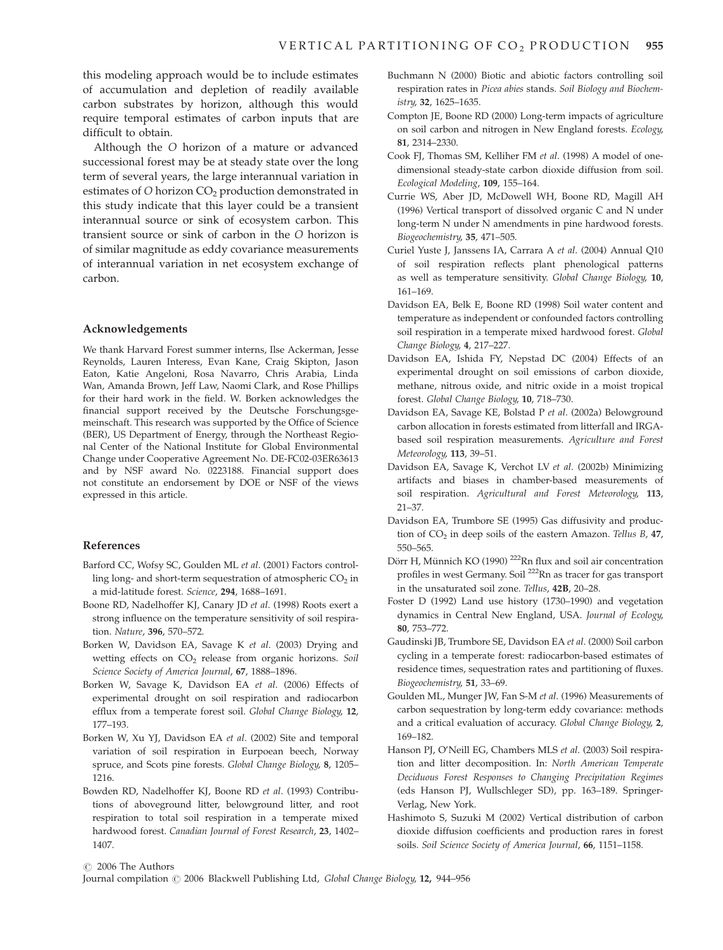this modeling approach would be to include estimates of accumulation and depletion of readily available carbon substrates by horizon, although this would require temporal estimates of carbon inputs that are difficult to obtain.

Although the O horizon of a mature or advanced successional forest may be at steady state over the long term of several years, the large interannual variation in estimates of  $O$  horizon  $CO<sub>2</sub>$  production demonstrated in this study indicate that this layer could be a transient interannual source or sink of ecosystem carbon. This transient source or sink of carbon in the O horizon is of similar magnitude as eddy covariance measurements of interannual variation in net ecosystem exchange of carbon.

## Acknowledgements

We thank Harvard Forest summer interns, Ilse Ackerman, Jesse Reynolds, Lauren Interess, Evan Kane, Craig Skipton, Jason Eaton, Katie Angeloni, Rosa Navarro, Chris Arabia, Linda Wan, Amanda Brown, Jeff Law, Naomi Clark, and Rose Phillips for their hard work in the field. W. Borken acknowledges the financial support received by the Deutsche Forschungsgemeinschaft. This research was supported by the Office of Science (BER), US Department of Energy, through the Northeast Regional Center of the National Institute for Global Environmental Change under Cooperative Agreement No. DE-FC02-03ER63613 and by NSF award No. 0223188. Financial support does not constitute an endorsement by DOE or NSF of the views expressed in this article.

#### References

- Barford CC, Wofsy SC, Goulden ML et al. (2001) Factors controlling long- and short-term sequestration of atmospheric  $CO<sub>2</sub>$  in a mid-latitude forest. Science, 294, 1688–1691.
- Boone RD, Nadelhoffer KJ, Canary JD et al. (1998) Roots exert a strong influence on the temperature sensitivity of soil respiration. Nature, 396, 570–572.
- Borken W, Davidson EA, Savage K et al. (2003) Drying and wetting effects on CO<sub>2</sub> release from organic horizons. Soil Science Society of America Journal, 67, 1888–1896.
- Borken W, Savage K, Davidson EA et al. (2006) Effects of experimental drought on soil respiration and radiocarbon efflux from a temperate forest soil. Global Change Biology, 12, 177–193.
- Borken W, Xu YJ, Davidson EA et al. (2002) Site and temporal variation of soil respiration in Eurpoean beech, Norway spruce, and Scots pine forests. Global Change Biology, 8, 1205– 1216.
- Bowden RD, Nadelhoffer KJ, Boone RD et al. (1993) Contributions of aboveground litter, belowground litter, and root respiration to total soil respiration in a temperate mixed hardwood forest. Canadian Journal of Forest Research, 23, 1402– 1407.
- Buchmann N (2000) Biotic and abiotic factors controlling soil respiration rates in Picea abies stands. Soil Biology and Biochemistry, 32, 1625–1635.
- Compton JE, Boone RD (2000) Long-term impacts of agriculture on soil carbon and nitrogen in New England forests. Ecology, 81, 2314–2330.
- Cook FJ, Thomas SM, Kelliher FM et al. (1998) A model of onedimensional steady-state carbon dioxide diffusion from soil. Ecological Modeling, 109, 155–164.
- Currie WS, Aber JD, McDowell WH, Boone RD, Magill AH (1996) Vertical transport of dissolved organic C and N under long-term N under N amendments in pine hardwood forests. Biogeochemistry, 35, 471–505.
- Curiel Yuste J, Janssens IA, Carrara A et al. (2004) Annual Q10 of soil respiration reflects plant phenological patterns as well as temperature sensitivity. Global Change Biology, 10, 161–169.
- Davidson EA, Belk E, Boone RD (1998) Soil water content and temperature as independent or confounded factors controlling soil respiration in a temperate mixed hardwood forest. Global Change Biology, 4, 217–227.
- Davidson EA, Ishida FY, Nepstad DC (2004) Effects of an experimental drought on soil emissions of carbon dioxide, methane, nitrous oxide, and nitric oxide in a moist tropical forest. Global Change Biology, 10, 718–730.
- Davidson EA, Savage KE, Bolstad P et al. (2002a) Belowground carbon allocation in forests estimated from litterfall and IRGAbased soil respiration measurements. Agriculture and Forest Meteorology, 113, 39–51.
- Davidson EA, Savage K, Verchot LV et al. (2002b) Minimizing artifacts and biases in chamber-based measurements of soil respiration. Agricultural and Forest Meteorology, 113, 21–37.
- Davidson EA, Trumbore SE (1995) Gas diffusivity and production of  $CO<sub>2</sub>$  in deep soils of the eastern Amazon. Tellus B, 47, 550–565.
- Dörr H, Münnich KO (1990) <sup>222</sup>Rn flux and soil air concentration profiles in west Germany. Soil 222Rn as tracer for gas transport in the unsaturated soil zone. Tellus, 42B, 20–28.
- Foster D (1992) Land use history (1730–1990) and vegetation dynamics in Central New England, USA. Journal of Ecology, 80, 753–772.
- Gaudinski JB, Trumbore SE, Davidson EA et al. (2000) Soil carbon cycling in a temperate forest: radiocarbon-based estimates of residence times, sequestration rates and partitioning of fluxes. Biogeochemistry, 51, 33–69.
- Goulden ML, Munger JW, Fan S-M et al. (1996) Measurements of carbon sequestration by long-term eddy covariance: methods and a critical evaluation of accuracy. Global Change Biology, 2, 169–182.
- Hanson PJ, O'Neill EG, Chambers MLS et al. (2003) Soil respiration and litter decomposition. In: North American Temperate Deciduous Forest Responses to Changing Precipitation Regimes (eds Hanson PJ, Wullschleger SD), pp. 163–189. Springer-Verlag, New York.
- Hashimoto S, Suzuki M (2002) Vertical distribution of carbon dioxide diffusion coefficients and production rares in forest soils. Soil Science Society of America Journal, 66, 1151–1158.

 $\odot$  2006 The Authors

Journal compilation  $\odot$  2006 Blackwell Publishing Ltd, Global Change Biology, 12, 944–956